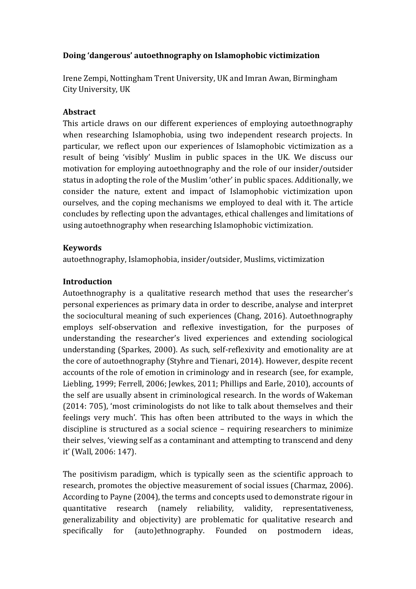# **Doing 'dangerous' autoethnography on Islamophobic victimization**

Irene Zempi, Nottingham Trent University, UK and Imran Awan, Birmingham City University, UK

## **Abstract**

This article draws on our different experiences of employing autoethnography when researching Islamophobia, using two independent research projects. In particular, we reflect upon our experiences of Islamophobic victimization as a result of being 'visibly' Muslim in public spaces in the UK. We discuss our motivation for employing autoethnography and the role of our insider/outsider status in adopting the role of the Muslim 'other' in public spaces. Additionally, we consider the nature, extent and impact of Islamophobic victimization upon ourselves, and the coping mechanisms we employed to deal with it. The article concludes by reflecting upon the advantages, ethical challenges and limitations of using autoethnography when researching Islamophobic victimization.

## **Keywords**

autoethnography, Islamophobia, insider/outsider, Muslims, victimization

## **Introduction**

Autoethnography is a qualitative research method that uses the researcher's personal experiences as primary data in order to describe, analyse and interpret the sociocultural meaning of such experiences (Chang, 2016). Autoethnography employs self-observation and reflexive investigation, for the purposes of understanding the researcher's lived experiences and extending sociological understanding (Sparkes, 2000). As such, self-reflexivity and emotionality are at the core of autoethnography (Styhre and Tienari, 2014). However, despite recent accounts of the role of emotion in criminology and in research (see, for example, Liebling, 1999; Ferrell, 2006; Jewkes, 2011; Phillips and Earle, 2010), accounts of the self are usually absent in criminological research. In the words of Wakeman (2014: 705), 'most criminologists do not like to talk about themselves and their feelings very much'. This has often been attributed to the ways in which the discipline is structured as a social science – requiring researchers to minimize their selves, 'viewing self as a contaminant and attempting to transcend and deny it' (Wall, 2006: 147).

The positivism paradigm, which is typically seen as the scientific approach to research, promotes the objective measurement of social issues (Charmaz, 2006). According to Payne (2004), the terms and concepts used to demonstrate rigour in quantitative research (namely reliability, validity, representativeness, generalizability and objectivity) are problematic for qualitative research and specifically for (auto)ethnography. Founded on postmodern ideas,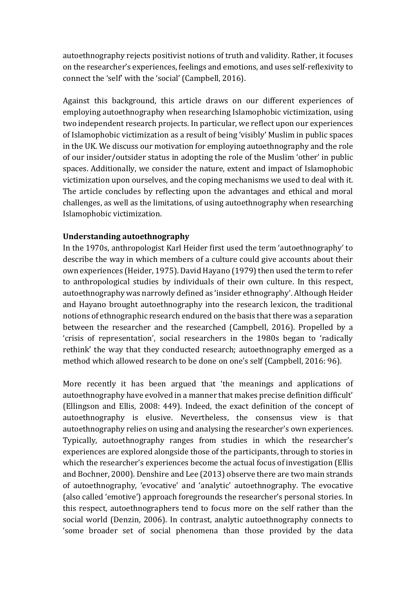autoethnography rejects positivist notions of truth and validity. Rather, it focuses on the researcher's experiences, feelings and emotions, and uses self-reflexivity to connect the 'self' with the 'social' (Campbell, 2016).

Against this background, this article draws on our different experiences of employing autoethnography when researching Islamophobic victimization, using two independent research projects. In particular, we reflect upon our experiences of Islamophobic victimization as a result of being 'visibly' Muslim in public spaces in the UK. We discuss our motivation for employing autoethnography and the role of our insider/outsider status in adopting the role of the Muslim 'other' in public spaces. Additionally, we consider the nature, extent and impact of Islamophobic victimization upon ourselves, and the coping mechanisms we used to deal with it. The article concludes by reflecting upon the advantages and ethical and moral challenges, as well as the limitations, of using autoethnography when researching Islamophobic victimization.

## **Understanding autoethnography**

In the 1970s, anthropologist Karl Heider first used the term 'autoethnography' to describe the way in which members of a culture could give accounts about their own experiences (Heider, 1975). David Hayano (1979) then used the term to refer to anthropological studies by individuals of their own culture. In this respect, autoethnography was narrowly defined as 'insider ethnography'. Although Heider and Hayano brought autoethnography into the research lexicon, the traditional notions of ethnographic research endured on the basis that there was a separation between the researcher and the researched (Campbell, 2016). Propelled by a 'crisis of representation', social researchers in the 1980s began to 'radically rethink' the way that they conducted research; autoethnography emerged as a method which allowed research to be done on one's self (Campbell, 2016: 96).

More recently it has been argued that 'the meanings and applications of autoethnography have evolved in a manner that makes precise definition difficult' (Ellingson and Ellis, 2008: 449). Indeed, the exact definition of the concept of autoethnography is elusive. Nevertheless, the consensus view is that autoethnography relies on using and analysing the researcher's own experiences. Typically, autoethnography ranges from studies in which the researcher's experiences are explored alongside those of the participants, through to stories in which the researcher's experiences become the actual focus of investigation (Ellis and Bochner, 2000). Denshire and Lee (2013) observe there are two main strands of autoethnography, 'evocative' and 'analytic' autoethnography. The evocative (also called 'emotive') approach foregrounds the researcher's personal stories. In this respect, autoethnographers tend to focus more on the self rather than the social world (Denzin, 2006). In contrast, analytic autoethnography connects to 'some broader set of social phenomena than those provided by the data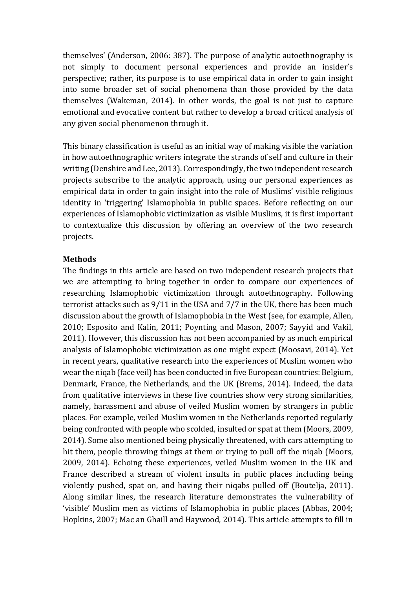themselves' (Anderson, 2006: 387). The purpose of analytic autoethnography is not simply to document personal experiences and provide an insider's perspective; rather, its purpose is to use empirical data in order to gain insight into some broader set of social phenomena than those provided by the data themselves (Wakeman, 2014). In other words, the goal is not just to capture emotional and evocative content but rather to develop a broad critical analysis of any given social phenomenon through it.

This binary classification is useful as an initial way of making visible the variation in how autoethnographic writers integrate the strands of self and culture in their writing (Denshire and Lee, 2013). Correspondingly, the two independent research projects subscribe to the analytic approach, using our personal experiences as empirical data in order to gain insight into the role of Muslims' visible religious identity in 'triggering' Islamophobia in public spaces. Before reflecting on our experiences of Islamophobic victimization as visible Muslims, it is first important to contextualize this discussion by offering an overview of the two research projects.

### **Methods**

The findings in this article are based on two independent research projects that we are attempting to bring together in order to compare our experiences of researching Islamophobic victimization through autoethnography. Following terrorist attacks such as 9/11 in the USA and 7/7 in the UK, there has been much discussion about the growth of Islamophobia in the West (see, for example, Allen, 2010; Esposito and Kalin, 2011; Poynting and Mason, 2007; Sayyid and Vakil, 2011). However, this discussion has not been accompanied by as much empirical analysis of Islamophobic victimization as one might expect (Moosavi, 2014). Yet in recent years, qualitative research into the experiences of Muslim women who wear the niqab (face veil) has been conducted in five European countries: Belgium, Denmark, France, the Netherlands, and the UK (Brems, 2014). Indeed, the data from qualitative interviews in these five countries show very strong similarities, namely, harassment and abuse of veiled Muslim women by strangers in public places. For example, veiled Muslim women in the Netherlands reported regularly being confronted with people who scolded, insulted or spat at them (Moors, 2009, 2014). Some also mentioned being physically threatened, with cars attempting to hit them, people throwing things at them or trying to pull off the niqab (Moors, 2009, 2014). Echoing these experiences, veiled Muslim women in the UK and France described a stream of violent insults in public places including being violently pushed, spat on, and having their niqabs pulled off (Boutelja, 2011). Along similar lines, the research literature demonstrates the vulnerability of 'visible' Muslim men as victims of Islamophobia in public places (Abbas, 2004; Hopkins, 2007; Mac an Ghaill and Haywood, 2014). This article attempts to fill in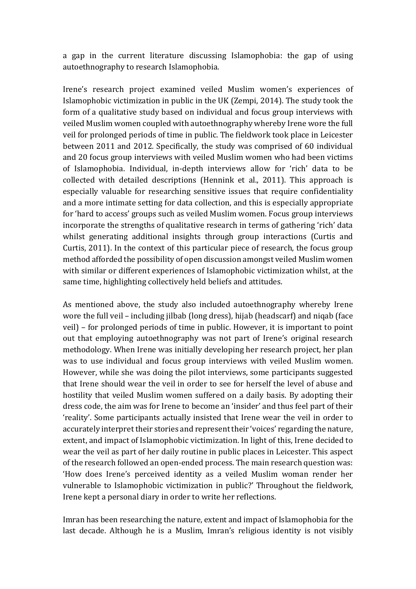a gap in the current literature discussing Islamophobia: the gap of using autoethnography to research Islamophobia.

Irene's research project examined veiled Muslim women's experiences of Islamophobic victimization in public in the UK (Zempi, 2014). The study took the form of a qualitative study based on individual and focus group interviews with veiled Muslim women coupled with autoethnography whereby Irene wore the full veil for prolonged periods of time in public. The fieldwork took place in Leicester between 2011 and 2012. Specifically, the study was comprised of 60 individual and 20 focus group interviews with veiled Muslim women who had been victims of Islamophobia. Individual, in-depth interviews allow for 'rich' data to be collected with detailed descriptions (Hennink et al., 2011). This approach is especially valuable for researching sensitive issues that require confidentiality and a more intimate setting for data collection, and this is especially appropriate for 'hard to access' groups such as veiled Muslim women. Focus group interviews incorporate the strengths of qualitative research in terms of gathering 'rich' data whilst generating additional insights through group interactions (Curtis and Curtis, 2011). In the context of this particular piece of research, the focus group method afforded the possibility of open discussion amongst veiled Muslim women with similar or different experiences of Islamophobic victimization whilst, at the same time, highlighting collectively held beliefs and attitudes.

As mentioned above, the study also included autoethnography whereby Irene wore the full veil – including jilbab (long dress), hijab (headscarf) and niqab (face veil) – for prolonged periods of time in public. However, it is important to point out that employing autoethnography was not part of Irene's original research methodology. When Irene was initially developing her research project, her plan was to use individual and focus group interviews with veiled Muslim women. However, while she was doing the pilot interviews, some participants suggested that Irene should wear the veil in order to see for herself the level of abuse and hostility that veiled Muslim women suffered on a daily basis. By adopting their dress code, the aim was for Irene to become an 'insider' and thus feel part of their 'reality'. Some participants actually insisted that Irene wear the veil in order to accurately interpret their stories and represent their 'voices' regarding the nature, extent, and impact of Islamophobic victimization. In light of this, Irene decided to wear the veil as part of her daily routine in public places in Leicester. This aspect of the research followed an open-ended process. The main research question was: 'How does Irene's perceived identity as a veiled Muslim woman render her vulnerable to Islamophobic victimization in public?' Throughout the fieldwork, Irene kept a personal diary in order to write her reflections.

Imran has been researching the nature, extent and impact of Islamophobia for the last decade. Although he is a Muslim, Imran's religious identity is not visibly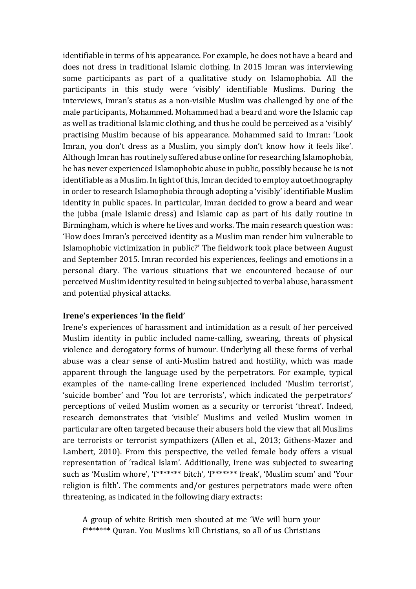identifiable in terms of his appearance. For example, he does not have a beard and does not dress in traditional Islamic clothing. In 2015 Imran was interviewing some participants as part of a qualitative study on Islamophobia. All the participants in this study were 'visibly' identifiable Muslims. During the interviews, Imran's status as a non-visible Muslim was challenged by one of the male participants, Mohammed. Mohammed had a beard and wore the Islamic cap as well as traditional Islamic clothing, and thus he could be perceived as a 'visibly' practising Muslim because of his appearance. Mohammed said to Imran: 'Look Imran, you don't dress as a Muslim, you simply don't know how it feels like'. Although Imran has routinely suffered abuse online for researching Islamophobia, he has never experienced Islamophobic abuse in public, possibly because he is not identifiable as a Muslim. In light of this, Imran decided to employ autoethnography in order to research Islamophobia through adopting a 'visibly' identifiable Muslim identity in public spaces. In particular, Imran decided to grow a beard and wear the jubba (male Islamic dress) and Islamic cap as part of his daily routine in Birmingham, which is where he lives and works. The main research question was: 'How does Imran's perceived identity as a Muslim man render him vulnerable to Islamophobic victimization in public?' The fieldwork took place between August and September 2015. Imran recorded his experiences, feelings and emotions in a personal diary. The various situations that we encountered because of our perceived Muslim identity resulted in being subjected to verbal abuse, harassment and potential physical attacks.

### **Irene's experiences 'in the field'**

Irene's experiences of harassment and intimidation as a result of her perceived Muslim identity in public included name-calling, swearing, threats of physical violence and derogatory forms of humour. Underlying all these forms of verbal abuse was a clear sense of anti-Muslim hatred and hostility, which was made apparent through the language used by the perpetrators. For example, typical examples of the name-calling Irene experienced included 'Muslim terrorist', 'suicide bomber' and 'You lot are terrorists', which indicated the perpetrators' perceptions of veiled Muslim women as a security or terrorist 'threat'. Indeed, research demonstrates that 'visible' Muslims and veiled Muslim women in particular are often targeted because their abusers hold the view that all Muslims are terrorists or terrorist sympathizers (Allen et al., 2013; Githens-Mazer and Lambert, 2010). From this perspective, the veiled female body offers a visual representation of 'radical Islam'. Additionally, Irene was subjected to swearing such as 'Muslim whore', 'f\*\*\*\*\*\*\* bitch', 'f\*\*\*\*\*\*\* freak', 'Muslim scum' and 'Your religion is filth'. The comments and/or gestures perpetrators made were often threatening, as indicated in the following diary extracts:

A group of white British men shouted at me 'We will burn your f\*\*\*\*\*\*\* Quran. You Muslims kill Christians, so all of us Christians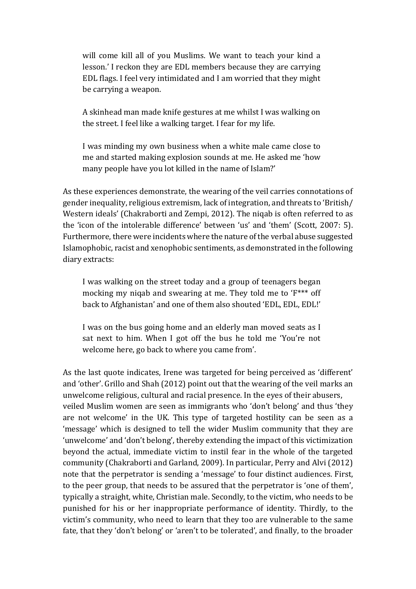will come kill all of you Muslims. We want to teach your kind a lesson.' I reckon they are EDL members because they are carrying EDL flags. I feel very intimidated and I am worried that they might be carrying a weapon.

A skinhead man made knife gestures at me whilst I was walking on the street. I feel like a walking target. I fear for my life.

I was minding my own business when a white male came close to me and started making explosion sounds at me. He asked me 'how many people have you lot killed in the name of Islam?'

As these experiences demonstrate, the wearing of the veil carries connotations of gender inequality, religious extremism, lack of integration, and threats to 'British/ Western ideals' (Chakraborti and Zempi, 2012). The niqab is often referred to as the 'icon of the intolerable difference' between 'us' and 'them' (Scott, 2007: 5). Furthermore, there were incidents where the nature of the verbal abuse suggested Islamophobic, racist and xenophobic sentiments, as demonstrated in the following diary extracts:

I was walking on the street today and a group of teenagers began mocking my niqab and swearing at me. They told me to 'F\*\*\* off back to Afghanistan' and one of them also shouted 'EDL, EDL, EDL!'

I was on the bus going home and an elderly man moved seats as I sat next to him. When I got off the bus he told me 'You're not welcome here, go back to where you came from'.

As the last quote indicates, Irene was targeted for being perceived as 'different' and 'other'. Grillo and Shah (2012) point out that the wearing of the veil marks an unwelcome religious, cultural and racial presence. In the eyes of their abusers, veiled Muslim women are seen as immigrants who 'don't belong' and thus 'they are not welcome' in the UK. This type of targeted hostility can be seen as a 'message' which is designed to tell the wider Muslim community that they are 'unwelcome' and 'don't belong', thereby extending the impact of this victimization beyond the actual, immediate victim to instil fear in the whole of the targeted community (Chakraborti and Garland, 2009). In particular, Perry and Alvi (2012) note that the perpetrator is sending a 'message' to four distinct audiences. First, to the peer group, that needs to be assured that the perpetrator is 'one of them', typically a straight, white, Christian male. Secondly, to the victim, who needs to be punished for his or her inappropriate performance of identity. Thirdly, to the victim's community, who need to learn that they too are vulnerable to the same fate, that they 'don't belong' or 'aren't to be tolerated', and finally, to the broader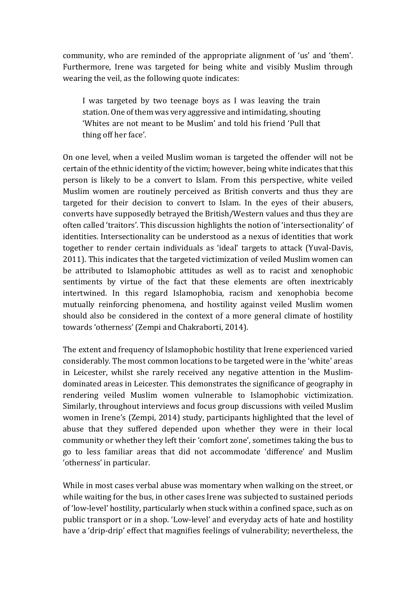community, who are reminded of the appropriate alignment of 'us' and 'them'. Furthermore, Irene was targeted for being white and visibly Muslim through wearing the veil, as the following quote indicates:

I was targeted by two teenage boys as I was leaving the train station. One of them was very aggressive and intimidating, shouting 'Whites are not meant to be Muslim' and told his friend 'Pull that thing off her face'.

On one level, when a veiled Muslim woman is targeted the offender will not be certain of the ethnic identity of the victim; however, being white indicates that this person is likely to be a convert to Islam. From this perspective, white veiled Muslim women are routinely perceived as British converts and thus they are targeted for their decision to convert to Islam. In the eyes of their abusers, converts have supposedly betrayed the British/Western values and thus they are often called 'traitors'. This discussion highlights the notion of 'intersectionality' of identities. Intersectionality can be understood as a nexus of identities that work together to render certain individuals as 'ideal' targets to attack (Yuval-Davis, 2011). This indicates that the targeted victimization of veiled Muslim women can be attributed to Islamophobic attitudes as well as to racist and xenophobic sentiments by virtue of the fact that these elements are often inextricably intertwined. In this regard Islamophobia, racism and xenophobia become mutually reinforcing phenomena, and hostility against veiled Muslim women should also be considered in the context of a more general climate of hostility towards 'otherness' (Zempi and Chakraborti, 2014).

The extent and frequency of Islamophobic hostility that Irene experienced varied considerably. The most common locations to be targeted were in the 'white' areas in Leicester, whilst she rarely received any negative attention in the Muslimdominated areas in Leicester. This demonstrates the significance of geography in rendering veiled Muslim women vulnerable to Islamophobic victimization. Similarly, throughout interviews and focus group discussions with veiled Muslim women in Irene's (Zempi, 2014) study, participants highlighted that the level of abuse that they suffered depended upon whether they were in their local community or whether they left their 'comfort zone', sometimes taking the bus to go to less familiar areas that did not accommodate 'difference' and Muslim 'otherness' in particular.

While in most cases verbal abuse was momentary when walking on the street, or while waiting for the bus, in other cases Irene was subjected to sustained periods of 'low-level' hostility, particularly when stuck within a confined space, such as on public transport or in a shop. 'Low-level' and everyday acts of hate and hostility have a 'drip-drip' effect that magnifies feelings of vulnerability; nevertheless, the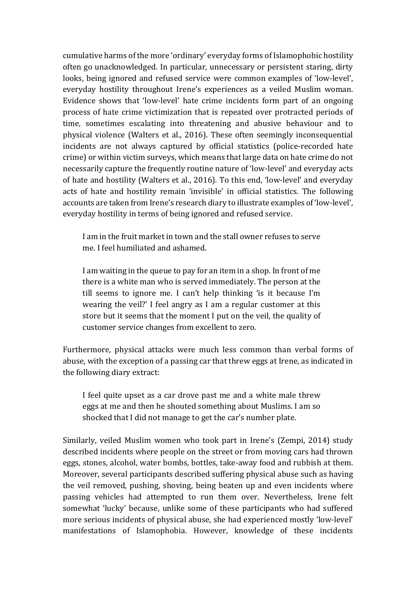cumulative harms of the more 'ordinary' everyday forms of Islamophobic hostility often go unacknowledged. In particular, unnecessary or persistent staring, dirty looks, being ignored and refused service were common examples of 'low-level', everyday hostility throughout Irene's experiences as a veiled Muslim woman. Evidence shows that 'low-level' hate crime incidents form part of an ongoing process of hate crime victimization that is repeated over protracted periods of time, sometimes escalating into threatening and abusive behaviour and to physical violence (Walters et al., 2016). These often seemingly inconsequential incidents are not always captured by official statistics (police-recorded hate crime) or within victim surveys, which means that large data on hate crime do not necessarily capture the frequently routine nature of 'low-level' and everyday acts of hate and hostility (Walters et al., 2016). To this end, 'low-level' and everyday acts of hate and hostility remain 'invisible' in official statistics. The following accounts are taken from Irene's research diary to illustrate examples of 'low-level', everyday hostility in terms of being ignored and refused service.

I am in the fruit market in town and the stall owner refuses to serve me. I feel humiliated and ashamed.

I am waiting in the queue to pay for an item in a shop. In front of me there is a white man who is served immediately. The person at the till seems to ignore me. I can't help thinking 'is it because I'm wearing the veil?' I feel angry as I am a regular customer at this store but it seems that the moment I put on the veil, the quality of customer service changes from excellent to zero.

Furthermore, physical attacks were much less common than verbal forms of abuse, with the exception of a passing car that threw eggs at Irene, as indicated in the following diary extract:

I feel quite upset as a car drove past me and a white male threw eggs at me and then he shouted something about Muslims. I am so shocked that I did not manage to get the car's number plate.

Similarly, veiled Muslim women who took part in Irene's (Zempi, 2014) study described incidents where people on the street or from moving cars had thrown eggs, stones, alcohol, water bombs, bottles, take-away food and rubbish at them. Moreover, several participants described suffering physical abuse such as having the veil removed, pushing, shoving, being beaten up and even incidents where passing vehicles had attempted to run them over. Nevertheless, Irene felt somewhat 'lucky' because, unlike some of these participants who had suffered more serious incidents of physical abuse, she had experienced mostly 'low-level' manifestations of Islamophobia. However, knowledge of these incidents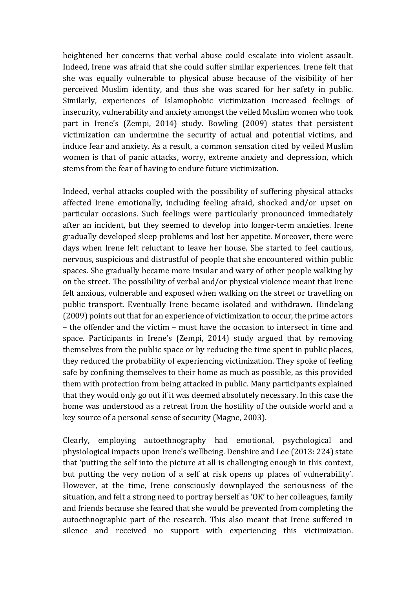heightened her concerns that verbal abuse could escalate into violent assault. Indeed, Irene was afraid that she could suffer similar experiences. Irene felt that she was equally vulnerable to physical abuse because of the visibility of her perceived Muslim identity, and thus she was scared for her safety in public. Similarly, experiences of Islamophobic victimization increased feelings of insecurity, vulnerability and anxiety amongst the veiled Muslim women who took part in Irene's (Zempi, 2014) study. Bowling (2009) states that persistent victimization can undermine the security of actual and potential victims, and induce fear and anxiety. As a result, a common sensation cited by veiled Muslim women is that of panic attacks, worry, extreme anxiety and depression, which stems from the fear of having to endure future victimization.

Indeed, verbal attacks coupled with the possibility of suffering physical attacks affected Irene emotionally, including feeling afraid, shocked and/or upset on particular occasions. Such feelings were particularly pronounced immediately after an incident, but they seemed to develop into longer-term anxieties. Irene gradually developed sleep problems and lost her appetite. Moreover, there were days when Irene felt reluctant to leave her house. She started to feel cautious, nervous, suspicious and distrustful of people that she encountered within public spaces. She gradually became more insular and wary of other people walking by on the street. The possibility of verbal and/or physical violence meant that Irene felt anxious, vulnerable and exposed when walking on the street or travelling on public transport. Eventually Irene became isolated and withdrawn. Hindelang (2009) points out that for an experience of victimization to occur, the prime actors – the offender and the victim – must have the occasion to intersect in time and space. Participants in Irene's (Zempi, 2014) study argued that by removing themselves from the public space or by reducing the time spent in public places, they reduced the probability of experiencing victimization. They spoke of feeling safe by confining themselves to their home as much as possible, as this provided them with protection from being attacked in public. Many participants explained that they would only go out if it was deemed absolutely necessary. In this case the home was understood as a retreat from the hostility of the outside world and a key source of a personal sense of security (Magne, 2003).

Clearly, employing autoethnography had emotional, psychological and physiological impacts upon Irene's wellbeing. Denshire and Lee (2013: 224) state that 'putting the self into the picture at all is challenging enough in this context, but putting the very notion of a self at risk opens up places of vulnerability'. However, at the time, Irene consciously downplayed the seriousness of the situation, and felt a strong need to portray herself as 'OK' to her colleagues, family and friends because she feared that she would be prevented from completing the autoethnographic part of the research. This also meant that Irene suffered in silence and received no support with experiencing this victimization.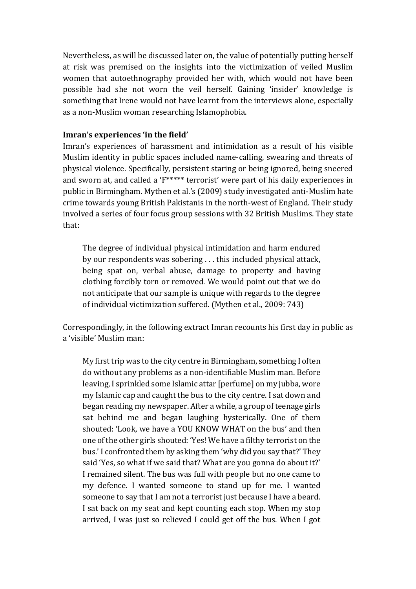Nevertheless, as will be discussed later on, the value of potentially putting herself at risk was premised on the insights into the victimization of veiled Muslim women that autoethnography provided her with, which would not have been possible had she not worn the veil herself. Gaining 'insider' knowledge is something that Irene would not have learnt from the interviews alone, especially as a non-Muslim woman researching Islamophobia.

## **Imran's experiences 'in the field'**

Imran's experiences of harassment and intimidation as a result of his visible Muslim identity in public spaces included name-calling, swearing and threats of physical violence. Specifically, persistent staring or being ignored, being sneered and sworn at, and called a 'F\*\*\*\*\* terrorist' were part of his daily experiences in public in Birmingham. Mythen et al.'s (2009) study investigated anti-Muslim hate crime towards young British Pakistanis in the north-west of England. Their study involved a series of four focus group sessions with 32 British Muslims. They state that:

The degree of individual physical intimidation and harm endured by our respondents was sobering . . . this included physical attack, being spat on, verbal abuse, damage to property and having clothing forcibly torn or removed. We would point out that we do not anticipate that our sample is unique with regards to the degree of individual victimization suffered. (Mythen et al., 2009: 743)

Correspondingly, in the following extract Imran recounts his first day in public as a 'visible' Muslim man:

My first trip was to the city centre in Birmingham, something I often do without any problems as a non-identifiable Muslim man. Before leaving, I sprinkled some Islamic attar [perfume] on my jubba, wore my Islamic cap and caught the bus to the city centre. I sat down and began reading my newspaper. After a while, a group of teenage girls sat behind me and began laughing hysterically. One of them shouted: 'Look, we have a YOU KNOW WHAT on the bus' and then one of the other girls shouted: 'Yes! We have a filthy terrorist on the bus.' I confronted them by asking them 'why did you say that?' They said 'Yes, so what if we said that? What are you gonna do about it?' I remained silent. The bus was full with people but no one came to my defence. I wanted someone to stand up for me. I wanted someone to say that I am not a terrorist just because I have a beard. I sat back on my seat and kept counting each stop. When my stop arrived, I was just so relieved I could get off the bus. When I got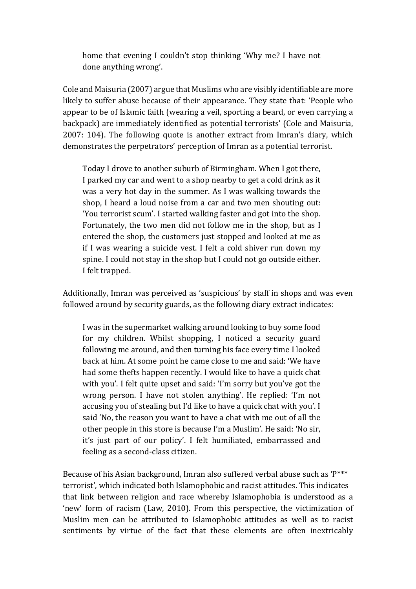home that evening I couldn't stop thinking 'Why me? I have not done anything wrong'.

Cole and Maisuria (2007) argue that Muslims who are visibly identifiable are more likely to suffer abuse because of their appearance. They state that: 'People who appear to be of Islamic faith (wearing a veil, sporting a beard, or even carrying a backpack) are immediately identified as potential terrorists' (Cole and Maisuria, 2007: 104). The following quote is another extract from Imran's diary, which demonstrates the perpetrators' perception of Imran as a potential terrorist.

Today I drove to another suburb of Birmingham. When I got there, I parked my car and went to a shop nearby to get a cold drink as it was a very hot day in the summer. As I was walking towards the shop, I heard a loud noise from a car and two men shouting out: 'You terrorist scum'. I started walking faster and got into the shop. Fortunately, the two men did not follow me in the shop, but as I entered the shop, the customers just stopped and looked at me as if I was wearing a suicide vest. I felt a cold shiver run down my spine. I could not stay in the shop but I could not go outside either. I felt trapped.

Additionally, Imran was perceived as 'suspicious' by staff in shops and was even followed around by security guards, as the following diary extract indicates:

I was in the supermarket walking around looking to buy some food for my children. Whilst shopping, I noticed a security guard following me around, and then turning his face every time I looked back at him. At some point he came close to me and said: 'We have had some thefts happen recently. I would like to have a quick chat with you'. I felt quite upset and said: 'I'm sorry but you've got the wrong person. I have not stolen anything'. He replied: 'I'm not accusing you of stealing but I'd like to have a quick chat with you'. I said 'No, the reason you want to have a chat with me out of all the other people in this store is because I'm a Muslim'. He said: 'No sir, it's just part of our policy'. I felt humiliated, embarrassed and feeling as a second-class citizen.

Because of his Asian background, Imran also suffered verbal abuse such as 'P\*\*\* terrorist', which indicated both Islamophobic and racist attitudes. This indicates that link between religion and race whereby Islamophobia is understood as a 'new' form of racism (Law, 2010). From this perspective, the victimization of Muslim men can be attributed to Islamophobic attitudes as well as to racist sentiments by virtue of the fact that these elements are often inextricably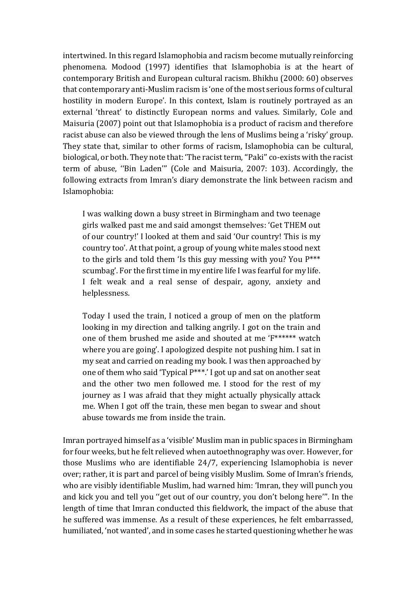intertwined. In this regard Islamophobia and racism become mutually reinforcing phenomena. Modood (1997) identifies that Islamophobia is at the heart of contemporary British and European cultural racism. Bhikhu (2000: 60) observes that contemporary anti-Muslim racism is 'one of the most serious forms of cultural hostility in modern Europe'. In this context, Islam is routinely portrayed as an external 'threat' to distinctly European norms and values. Similarly, Cole and Maisuria (2007) point out that Islamophobia is a product of racism and therefore racist abuse can also be viewed through the lens of Muslims being a 'risky' group. They state that, similar to other forms of racism, Islamophobia can be cultural, biological, or both. They note that: 'The racist term, ''Paki'' co-exists with the racist term of abuse, ''Bin Laden''' (Cole and Maisuria, 2007: 103). Accordingly, the following extracts from Imran's diary demonstrate the link between racism and Islamophobia:

I was walking down a busy street in Birmingham and two teenage girls walked past me and said amongst themselves: 'Get THEM out of our country!' I looked at them and said 'Our country! This is my country too'. At that point, a group of young white males stood next to the girls and told them 'Is this guy messing with you? You P\*\*\* scumbag'. For the first time in my entire life I was fearful for my life. I felt weak and a real sense of despair, agony, anxiety and helplessness.

Today I used the train, I noticed a group of men on the platform looking in my direction and talking angrily. I got on the train and one of them brushed me aside and shouted at me 'F\*\*\*\*\*\* watch where you are going'. I apologized despite not pushing him. I sat in my seat and carried on reading my book. I was then approached by one of them who said 'Typical P\*\*\*.' I got up and sat on another seat and the other two men followed me. I stood for the rest of my journey as I was afraid that they might actually physically attack me. When I got off the train, these men began to swear and shout abuse towards me from inside the train.

Imran portrayed himself as a 'visible' Muslim man in public spaces in Birmingham for four weeks, but he felt relieved when autoethnography was over. However, for those Muslims who are identifiable 24/7, experiencing Islamophobia is never over; rather, it is part and parcel of being visibly Muslim. Some of Imran's friends, who are visibly identifiable Muslim, had warned him: 'Imran, they will punch you and kick you and tell you ''get out of our country, you don't belong here'''. In the length of time that Imran conducted this fieldwork, the impact of the abuse that he suffered was immense. As a result of these experiences, he felt embarrassed, humiliated, 'not wanted', and in some cases he started questioning whether he was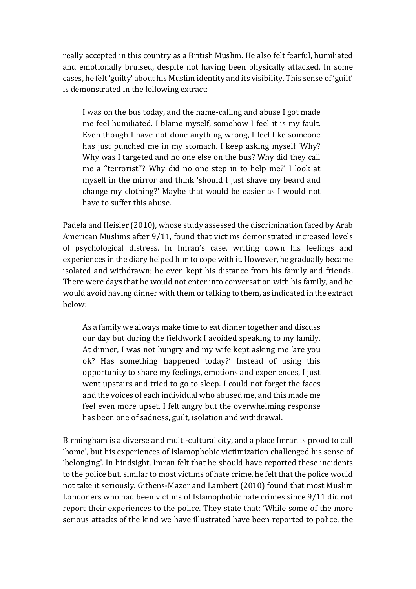really accepted in this country as a British Muslim. He also felt fearful, humiliated and emotionally bruised, despite not having been physically attacked. In some cases, he felt 'guilty' about his Muslim identity and its visibility. This sense of 'guilt' is demonstrated in the following extract:

I was on the bus today, and the name-calling and abuse I got made me feel humiliated. I blame myself, somehow I feel it is my fault. Even though I have not done anything wrong, I feel like someone has just punched me in my stomach. I keep asking myself 'Why? Why was I targeted and no one else on the bus? Why did they call me a ''terrorist''? Why did no one step in to help me?' I look at myself in the mirror and think 'should I just shave my beard and change my clothing?' Maybe that would be easier as I would not have to suffer this abuse.

Padela and Heisler (2010), whose study assessed the discrimination faced by Arab American Muslims after 9/11, found that victims demonstrated increased levels of psychological distress. In Imran's case, writing down his feelings and experiences in the diary helped him to cope with it. However, he gradually became isolated and withdrawn; he even kept his distance from his family and friends. There were days that he would not enter into conversation with his family, and he would avoid having dinner with them or talking to them, as indicated in the extract below:

As a family we always make time to eat dinner together and discuss our day but during the fieldwork I avoided speaking to my family. At dinner, I was not hungry and my wife kept asking me 'are you ok? Has something happened today?' Instead of using this opportunity to share my feelings, emotions and experiences, I just went upstairs and tried to go to sleep. I could not forget the faces and the voices of each individual who abused me, and this made me feel even more upset. I felt angry but the overwhelming response has been one of sadness, guilt, isolation and withdrawal.

Birmingham is a diverse and multi-cultural city, and a place Imran is proud to call 'home', but his experiences of Islamophobic victimization challenged his sense of 'belonging'. In hindsight, Imran felt that he should have reported these incidents to the police but, similar to most victims of hate crime, he felt that the police would not take it seriously. Githens-Mazer and Lambert (2010) found that most Muslim Londoners who had been victims of Islamophobic hate crimes since 9/11 did not report their experiences to the police. They state that: 'While some of the more serious attacks of the kind we have illustrated have been reported to police, the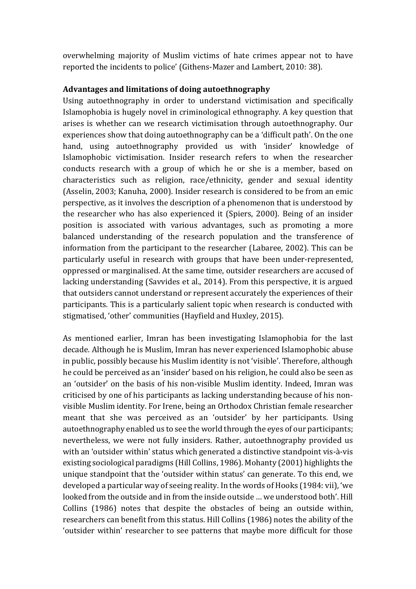overwhelming majority of Muslim victims of hate crimes appear not to have reported the incidents to police' (Githens-Mazer and Lambert, 2010: 38).

### **Advantages and limitations of doing autoethnography**

Using autoethnography in order to understand victimisation and specifically Islamophobia is hugely novel in criminological ethnography. A key question that arises is whether can we research victimisation through autoethnography. Our experiences show that doing autoethnography can be a 'difficult path'. On the one hand, using autoethnography provided us with 'insider' knowledge of Islamophobic victimisation. Insider research refers to when the researcher conducts research with a group of which he or she is a member, based on characteristics such as religion, race/ethnicity, gender and sexual identity (Asselin, 2003; Kanuha, 2000). Insider research is considered to be from an emic perspective, as it involves the description of a phenomenon that is understood by the researcher who has also experienced it (Spiers, 2000). Being of an insider position is associated with various advantages, such as promoting a more balanced understanding of the research population and the transference of information from the participant to the researcher (Labaree, 2002). This can be particularly useful in research with groups that have been under-represented, oppressed or marginalised. At the same time, outsider researchers are accused of lacking understanding (Savvides et al., 2014). From this perspective, it is argued that outsiders cannot understand or represent accurately the experiences of their participants. This is a particularly salient topic when research is conducted with stigmatised, 'other' communities (Hayfield and Huxley, 2015).

As mentioned earlier, Imran has been investigating Islamophobia for the last decade. Although he is Muslim, Imran has never experienced Islamophobic abuse in public, possibly because his Muslim identity is not 'visible'. Therefore, although he could be perceived as an 'insider' based on his religion, he could also be seen as an 'outsider' on the basis of his non-visible Muslim identity. Indeed, Imran was criticised by one of his participants as lacking understanding because of his nonvisible Muslim identity. For Irene, being an Orthodox Christian female researcher meant that she was perceived as an 'outsider' by her participants. Using autoethnography enabled us to see the world through the eyes of our participants; nevertheless, we were not fully insiders. Rather, autoethnography provided us with an 'outsider within' status which generated a distinctive standpoint vis-à-vis existing sociological paradigms (Hill Collins, 1986). Mohanty (2001) highlights the unique standpoint that the 'outsider within status' can generate. To this end, we developed a particular way of seeing reality. In the words of Hooks (1984: vii), 'we looked from the outside and in from the inside outside … we understood both'. Hill Collins (1986) notes that despite the obstacles of being an outside within, researchers can benefit from this status. Hill Collins (1986) notes the ability of the 'outsider within' researcher to see patterns that maybe more difficult for those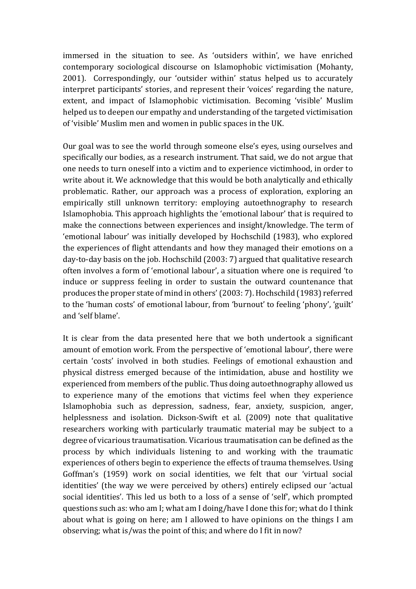immersed in the situation to see. As 'outsiders within', we have enriched contemporary sociological discourse on Islamophobic victimisation (Mohanty, 2001). Correspondingly, our 'outsider within' status helped us to accurately interpret participants' stories, and represent their 'voices' regarding the nature, extent, and impact of Islamophobic victimisation. Becoming 'visible' Muslim helped us to deepen our empathy and understanding of the targeted victimisation of 'visible' Muslim men and women in public spaces in the UK.

Our goal was to see the world through someone else's eyes, using ourselves and specifically our bodies, as a research instrument. That said, we do not argue that one needs to turn oneself into a victim and to experience victimhood, in order to write about it. We acknowledge that this would be both analytically and ethically problematic. Rather, our approach was a process of exploration, exploring an empirically still unknown territory: employing autoethnography to research Islamophobia. This approach highlights the 'emotional labour' that is required to make the connections between experiences and insight/knowledge. The term of 'emotional labour' was initially developed by Hochschild (1983), who explored the experiences of flight attendants and how they managed their emotions on a day-to-day basis on the job. Hochschild (2003: 7) argued that qualitative research often involves a form of 'emotional labour', a situation where one is required 'to induce or suppress feeling in order to sustain the outward countenance that produces the proper state of mind in others' (2003: 7). Hochschild (1983) referred to the 'human costs' of emotional labour, from 'burnout' to feeling 'phony', 'guilt' and 'self blame'.

It is clear from the data presented here that we both undertook a significant amount of emotion work. From the perspective of 'emotional labour', there were certain 'costs' involved in both studies. Feelings of emotional exhaustion and physical distress emerged because of the intimidation, abuse and hostility we experienced from members of the public. Thus doing autoethnography allowed us to experience many of the emotions that victims feel when they experience Islamophobia such as depression, sadness, fear, anxiety, suspicion, anger, helplessness and isolation. Dickson-Swift et al. (2009) note that qualitative researchers working with particularly traumatic material may be subject to a degree of vicarious traumatisation. Vicarious traumatisation can be defined as the process by which individuals listening to and working with the traumatic experiences of others begin to experience the effects of trauma themselves. Using Goffman's (1959) work on social identities, we felt that our 'virtual social identities' (the way we were perceived by others) entirely eclipsed our 'actual social identities'. This led us both to a loss of a sense of 'self', which prompted questions such as: who am I; what am I doing/have I done this for; what do I think about what is going on here; am I allowed to have opinions on the things I am observing; what is/was the point of this; and where do I fit in now?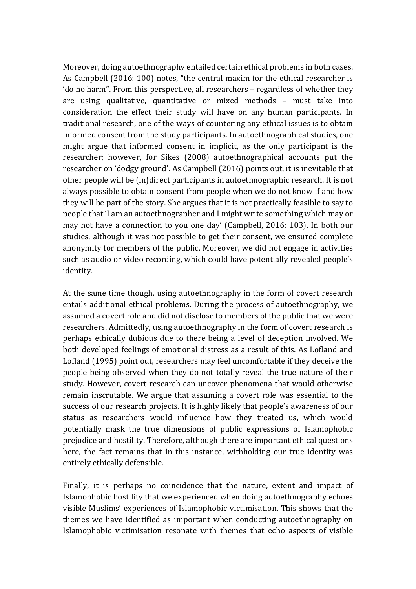Moreover, doing autoethnography entailed certain ethical problems in both cases. As Campbell (2016: 100) notes, "the central maxim for the ethical researcher is 'do no harm". From this perspective, all researchers – regardless of whether they are using qualitative, quantitative or mixed methods – must take into consideration the effect their study will have on any human participants. In traditional research, one of the ways of countering any ethical issues is to obtain informed consent from the study participants. In autoethnographical studies, one might argue that informed consent in implicit, as the only participant is the researcher; however, for Sikes (2008) autoethnographical accounts put the researcher on 'dodgy ground'. As Campbell (2016) points out, it is inevitable that other people will be (in)direct participants in autoethnographic research. It is not always possible to obtain consent from people when we do not know if and how they will be part of the story. She argues that it is not practically feasible to say to people that 'I am an autoethnographer and I might write something which may or may not have a connection to you one day' (Campbell, 2016: 103). In both our studies, although it was not possible to get their consent, we ensured complete anonymity for members of the public. Moreover, we did not engage in activities such as audio or video recording, which could have potentially revealed people's identity.

At the same time though, using autoethnography in the form of covert research entails additional ethical problems. During the process of autoethnography, we assumed a covert role and did not disclose to members of the public that we were researchers. Admittedly, using autoethnography in the form of covert research is perhaps ethically dubious due to there being a level of deception involved. We both developed feelings of emotional distress as a result of this. As Lofland and Lofland (1995) point out, researchers may feel uncomfortable if they deceive the people being observed when they do not totally reveal the true nature of their study. However, covert research can uncover phenomena that would otherwise remain inscrutable. We argue that assuming a covert role was essential to the success of our research projects. It is highly likely that people's awareness of our status as researchers would influence how they treated us, which would potentially mask the true dimensions of public expressions of Islamophobic prejudice and hostility. Therefore, although there are important ethical questions here, the fact remains that in this instance, withholding our true identity was entirely ethically defensible.

Finally, it is perhaps no coincidence that the nature, extent and impact of Islamophobic hostility that we experienced when doing autoethnography echoes visible Muslims' experiences of Islamophobic victimisation. This shows that the themes we have identified as important when conducting autoethnography on Islamophobic victimisation resonate with themes that echo aspects of visible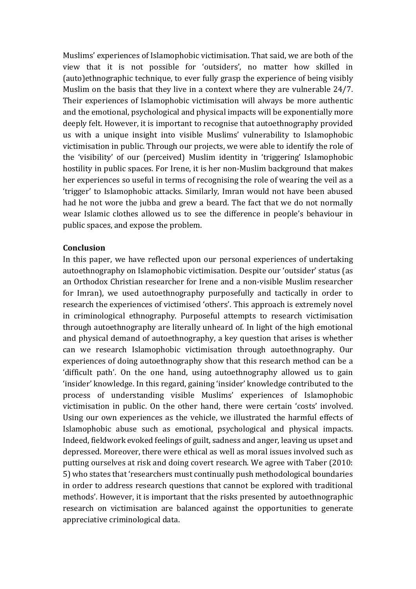Muslims' experiences of Islamophobic victimisation. That said, we are both of the view that it is not possible for 'outsiders', no matter how skilled in (auto)ethnographic technique, to ever fully grasp the experience of being visibly Muslim on the basis that they live in a context where they are vulnerable 24/7. Their experiences of Islamophobic victimisation will always be more authentic and the emotional, psychological and physical impacts will be exponentially more deeply felt. However, it is important to recognise that autoethnography provided us with a unique insight into visible Muslims' vulnerability to Islamophobic victimisation in public. Through our projects, we were able to identify the role of the 'visibility' of our (perceived) Muslim identity in 'triggering' Islamophobic hostility in public spaces. For Irene, it is her non-Muslim background that makes her experiences so useful in terms of recognising the role of wearing the veil as a 'trigger' to Islamophobic attacks. Similarly, Imran would not have been abused had he not wore the jubba and grew a beard. The fact that we do not normally wear Islamic clothes allowed us to see the difference in people's behaviour in public spaces, and expose the problem.

#### **Conclusion**

In this paper, we have reflected upon our personal experiences of undertaking autoethnography on Islamophobic victimisation. Despite our 'outsider' status (as an Orthodox Christian researcher for Irene and a non-visible Muslim researcher for Imran), we used autoethnography purposefully and tactically in order to research the experiences of victimised 'others'. This approach is extremely novel in criminological ethnography. Purposeful attempts to research victimisation through autoethnography are literally unheard of. In light of the high emotional and physical demand of autoethnography, a key question that arises is whether can we research Islamophobic victimisation through autoethnography. Our experiences of doing autoethnography show that this research method can be a 'difficult path'. On the one hand, using autoethnography allowed us to gain 'insider' knowledge. In this regard, gaining 'insider' knowledge contributed to the process of understanding visible Muslims' experiences of Islamophobic victimisation in public. On the other hand, there were certain 'costs' involved. Using our own experiences as the vehicle, we illustrated the harmful effects of Islamophobic abuse such as emotional, psychological and physical impacts. Indeed, fieldwork evoked feelings of guilt, sadness and anger, leaving us upset and depressed. Moreover, there were ethical as well as moral issues involved such as putting ourselves at risk and doing covert research. We agree with Taber (2010: 5) who states that 'researchers must continually push methodological boundaries in order to address research questions that cannot be explored with traditional methods'. However, it is important that the risks presented by autoethnographic research on victimisation are balanced against the opportunities to generate appreciative criminological data.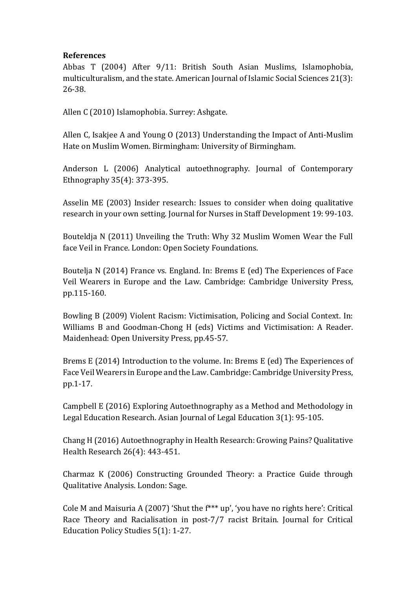### **References**

Abbas T (2004) After 9/11: British South Asian Muslims, Islamophobia, multiculturalism, and the state. American Journal of Islamic Social Sciences 21(3): 26-38.

Allen C (2010) Islamophobia. Surrey: Ashgate.

Allen C, Isakjee A and Young O (2013) Understanding the Impact of Anti-Muslim Hate on Muslim Women. Birmingham: University of Birmingham.

Anderson L (2006) Analytical autoethnography. Journal of Contemporary Ethnography 35(4): 373-395.

Asselin ME (2003) Insider research: Issues to consider when doing qualitative research in your own setting. Journal for Nurses in Staff Development 19: 99-103.

Bouteldja N (2011) Unveiling the Truth: Why 32 Muslim Women Wear the Full face Veil in France. London: Open Society Foundations.

Boutelja N (2014) France vs. England. In: Brems E (ed) The Experiences of Face Veil Wearers in Europe and the Law. Cambridge: Cambridge University Press, pp.115-160.

Bowling B (2009) Violent Racism: Victimisation, Policing and Social Context. In: Williams B and Goodman-Chong H (eds) Victims and Victimisation: A Reader. Maidenhead: Open University Press, pp.45-57.

Brems E (2014) Introduction to the volume. In: Brems E (ed) The Experiences of Face Veil Wearers in Europe and the Law. Cambridge: Cambridge University Press, pp.1-17.

Campbell E (2016) Exploring Autoethnography as a Method and Methodology in Legal Education Research. Asian Journal of Legal Education 3(1): 95-105.

Chang H (2016) Autoethnography in Health Research: Growing Pains? Qualitative Health Research 26(4): 443-451.

Charmaz K (2006) Constructing Grounded Theory: a Practice Guide through Qualitative Analysis. London: Sage.

Cole M and Maisuria A (2007) 'Shut the f\*\*\* up', 'you have no rights here': Critical Race Theory and Racialisation in post-7/7 racist Britain. Journal for Critical Education Policy Studies 5(1): 1-27.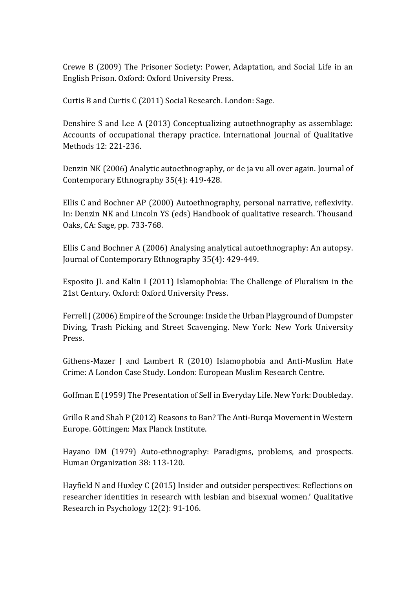Crewe B (2009) The Prisoner Society: Power, Adaptation, and Social Life in an English Prison. Oxford: Oxford University Press.

Curtis B and Curtis C (2011) Social Research. London: Sage.

Denshire S and Lee A (2013) Conceptualizing autoethnography as assemblage: Accounts of occupational therapy practice. International Journal of Qualitative Methods 12: 221-236.

Denzin NK (2006) Analytic autoethnography, or de ja vu all over again. Journal of Contemporary Ethnography 35(4): 419-428.

Ellis C and Bochner AP (2000) Autoethnography, personal narrative, reflexivity. In: Denzin NK and Lincoln YS (eds) Handbook of qualitative research. Thousand Oaks, CA: Sage, pp. 733-768.

Ellis C and Bochner A (2006) Analysing analytical autoethnography: An autopsy. Journal of Contemporary Ethnography 35(4): 429-449.

Esposito JL and Kalin I (2011) Islamophobia: The Challenge of Pluralism in the 21st Century. Oxford: Oxford University Press.

Ferrell J (2006) Empire of the Scrounge: Inside the Urban Playground of Dumpster Diving, Trash Picking and Street Scavenging. New York: New York University Press.

Githens-Mazer J and Lambert R (2010) Islamophobia and Anti-Muslim Hate Crime: A London Case Study. London: European Muslim Research Centre.

Goffman E (1959) The Presentation of Self in Everyday Life. New York: Doubleday.

Grillo R and Shah P (2012) Reasons to Ban? The Anti-Burqa Movement in Western Europe. Gö ttingen: Max Planck Institute.

Hayano DM (1979) Auto-ethnography: Paradigms, problems, and prospects. Human Organization 38: 113-120.

Hayfield N and Huxley C (2015) Insider and outsider perspectives: Reflections on researcher identities in research with lesbian and bisexual women.' Qualitative Research in Psychology 12(2): 91-106.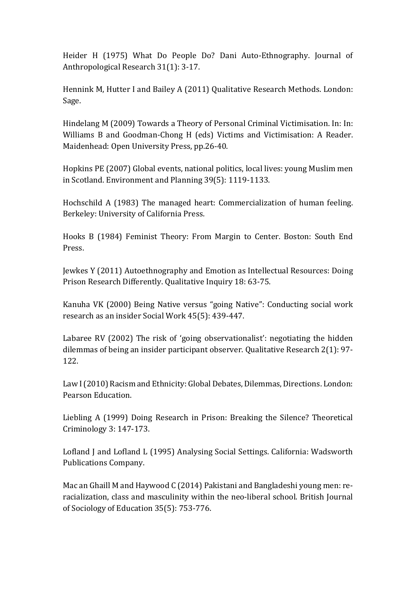Heider H (1975) What Do People Do? Dani Auto-Ethnography. Journal of Anthropological Research 31(1): 3-17.

Hennink M, Hutter I and Bailey A (2011) Qualitative Research Methods. London: Sage.

Hindelang M (2009) Towards a Theory of Personal Criminal Victimisation. In: In: Williams B and Goodman-Chong H (eds) Victims and Victimisation: A Reader. Maidenhead: Open University Press, pp.26-40.

Hopkins PE (2007) Global events, national politics, local lives: young Muslim men in Scotland. Environment and Planning 39(5): 1119-1133.

Hochschild A (1983) The managed heart: Commercialization of human feeling. Berkeley: University of California Press.

Hooks B (1984) Feminist Theory: From Margin to Center. Boston: South End Press.

Jewkes Y (2011) Autoethnography and Emotion as Intellectual Resources: Doing Prison Research Differently. Qualitative Inquiry 18: 63-75.

Kanuha VK (2000) Being Native versus "going Native": Conducting social work research as an insider Social Work 45(5): 439-447.

Labaree RV (2002) The risk of 'going observationalist': negotiating the hidden dilemmas of being an insider participant observer. Qualitative Research 2(1): 97- 122.

Law I (2010) Racism and Ethnicity: Global Debates, Dilemmas, Directions. London: Pearson Education.

Liebling A (1999) Doing Research in Prison: Breaking the Silence? Theoretical Criminology 3: 147-173.

Lofland J and Lofland L (1995) Analysing Social Settings. California: Wadsworth Publications Company.

Mac an Ghaill M and Haywood C (2014) Pakistani and Bangladeshi young men: reracialization, class and masculinity within the neo-liberal school. British Journal of Sociology of Education 35(5): 753-776.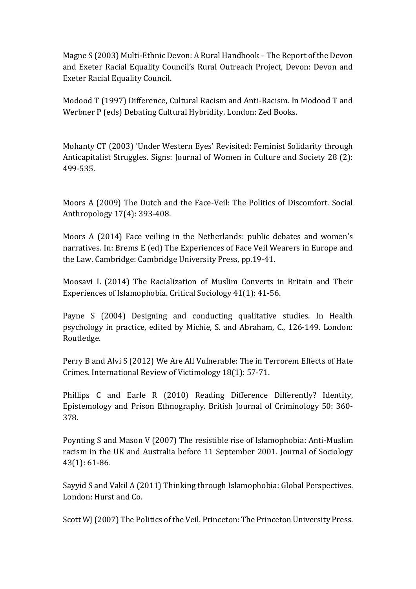Magne S (2003) Multi-Ethnic Devon: A Rural Handbook – The Report of the Devon and Exeter Racial Equality Council's Rural Outreach Project, Devon: Devon and Exeter Racial Equality Council.

Modood T (1997) Difference, Cultural Racism and Anti-Racism. In Modood T and Werbner P (eds) Debating Cultural Hybridity. London: Zed Books.

Mohanty CT (2003) 'Under Western Eyes' Revisited: Feminist Solidarity through Anticapitalist Struggles. Signs: Journal of Women in Culture and Society 28 (2): 499-535.

Moors A (2009) The Dutch and the Face-Veil: The Politics of Discomfort. Social Anthropology 17(4): 393-408.

Moors A (2014) Face veiling in the Netherlands: public debates and women's narratives. In: Brems E (ed) The Experiences of Face Veil Wearers in Europe and the Law. Cambridge: Cambridge University Press, pp.19-41.

Moosavi L (2014) The Racialization of Muslim Converts in Britain and Their Experiences of Islamophobia. Critical Sociology 41(1): 41-56.

Payne S (2004) Designing and conducting qualitative studies. In Health psychology in practice, edited by Michie, S. and Abraham, C., 126-149. London: Routledge.

Perry B and Alvi S (2012) We Are All Vulnerable: The in Terrorem Effects of Hate Crimes. International Review of Victimology 18(1): 57-71.

Phillips C and Earle R (2010) Reading Difference Differently? Identity, Epistemology and Prison Ethnography. British Journal of Criminology 50: 360- 378.

Poynting S and Mason V (2007) The resistible rise of Islamophobia: Anti-Muslim racism in the UK and Australia before 11 September 2001. Journal of Sociology 43(1): 61-86.

Sayyid S and Vakil A (2011) Thinking through Islamophobia: Global Perspectives. London: Hurst and Co.

Scott WJ (2007) The Politics of the Veil. Princeton: The Princeton University Press.